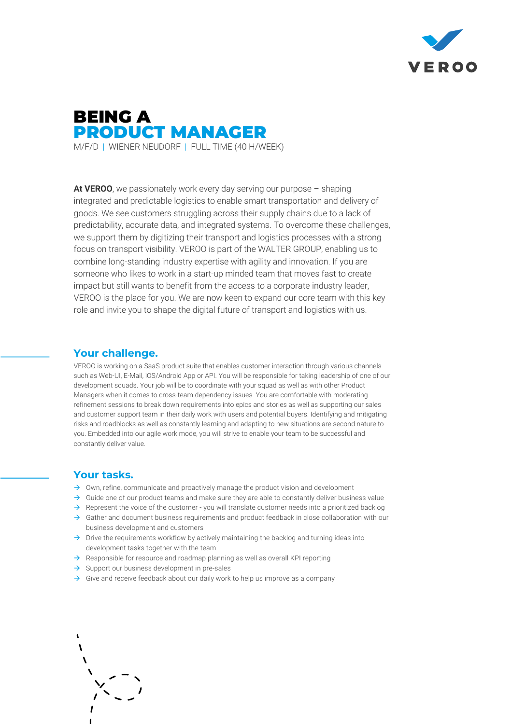



**At VEROO**, we passionately work every day serving our purpose – shaping integrated and predictable logistics to enable smart transportation and delivery of goods. We see customers struggling across their supply chains due to a lack of predictability, accurate data, and integrated systems. To overcome these challenges, we support them by digitizing their transport and logistics processes with a strong focus on transport visibility. VEROO is part of the WALTER GROUP, enabling us to combine long-standing industry expertise with agility and innovation. If you are someone who likes to work in a start-up minded team that moves fast to create impact but still wants to benefit from the access to a corporate industry leader, VEROO is the place for you. We are now keen to expand our core team with this key role and invite you to shape the digital future of transport and logistics with us.

### **Your challenge.**

VEROO is working on a SaaS product suite that enables customer interaction through various channels such as Web-UI, E-Mail, iOS/Android App or API. You will be responsible for taking leadership of one of our development squads. Your job will be to coordinate with your squad as well as with other Product Managers when it comes to cross-team dependency issues. You are comfortable with moderating refinement sessions to break down requirements into epics and stories as well as supporting our sales and customer support team in their daily work with users and potential buyers. Identifying and mitigating risks and roadblocks as well as constantly learning and adapting to new situations are second nature to you. Embedded into our agile work mode, you will strive to enable your team to be successful and constantly deliver value.

### **Your tasks.**

- $\rightarrow$  Own, refine, communicate and proactively manage the product vision and development
- $\rightarrow$  Guide one of our product teams and make sure they are able to constantly deliver business value
- $\rightarrow$  Represent the voice of the customer you will translate customer needs into a prioritized backlog
- $\rightarrow$  Gather and document business requirements and product feedback in close collaboration with our business development and customers
- $\rightarrow$  Drive the requirements workflow by actively maintaining the backlog and turning ideas into development tasks together with the team
- $\rightarrow$  Responsible for resource and roadmap planning as well as overall KPI reporting
- $\rightarrow$  Support our business development in pre-sales
- $\rightarrow$  Give and receive feedback about our daily work to help us improve as a company